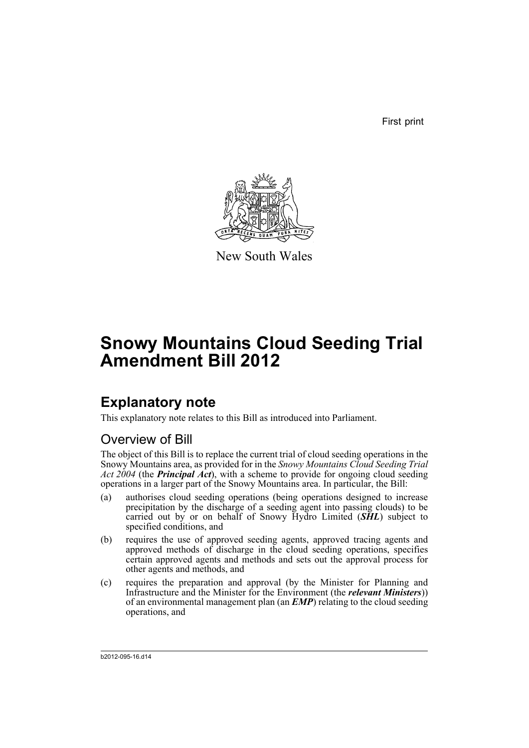First print



New South Wales

# **Snowy Mountains Cloud Seeding Trial Amendment Bill 2012**

## **Explanatory note**

This explanatory note relates to this Bill as introduced into Parliament.

## Overview of Bill

The object of this Bill is to replace the current trial of cloud seeding operations in the Snowy Mountains area, as provided for in the *Snowy Mountains Cloud Seeding Trial Act 2004* (the *Principal Act*), with a scheme to provide for ongoing cloud seeding operations in a larger part of the Snowy Mountains area. In particular, the Bill:

- (a) authorises cloud seeding operations (being operations designed to increase precipitation by the discharge of a seeding agent into passing clouds) to be carried out by or on behalf of Snowy Hydro Limited (*SHL*) subject to specified conditions, and
- (b) requires the use of approved seeding agents, approved tracing agents and approved methods of discharge in the cloud seeding operations, specifies certain approved agents and methods and sets out the approval process for other agents and methods, and
- (c) requires the preparation and approval (by the Minister for Planning and Infrastructure and the Minister for the Environment (the *relevant Ministers*)) of an environmental management plan (an *EMP*) relating to the cloud seeding operations, and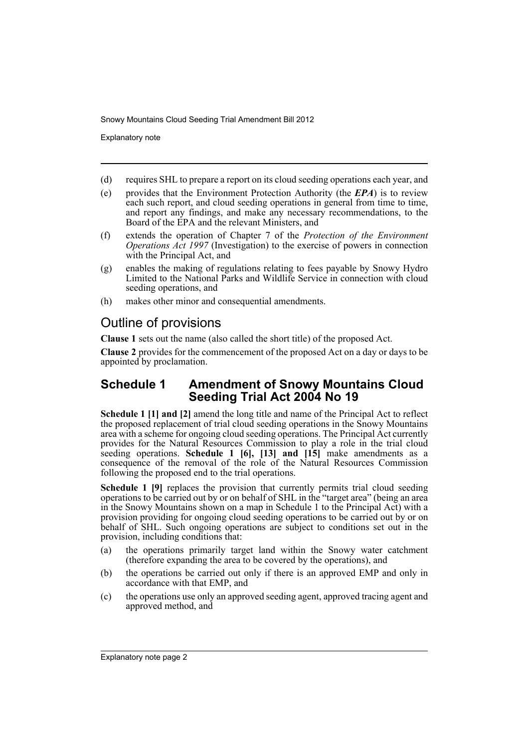Explanatory note

- (d) requires SHL to prepare a report on its cloud seeding operations each year, and
- (e) provides that the Environment Protection Authority (the *EPA*) is to review each such report, and cloud seeding operations in general from time to time, and report any findings, and make any necessary recommendations, to the Board of the EPA and the relevant Ministers, and
- (f) extends the operation of Chapter 7 of the *Protection of the Environment Operations Act 1997* (Investigation) to the exercise of powers in connection with the Principal Act, and
- (g) enables the making of regulations relating to fees payable by Snowy Hydro Limited to the National Parks and Wildlife Service in connection with cloud seeding operations, and
- (h) makes other minor and consequential amendments.

## Outline of provisions

**Clause 1** sets out the name (also called the short title) of the proposed Act.

**Clause 2** provides for the commencement of the proposed Act on a day or days to be appointed by proclamation.

### **Schedule 1 Amendment of Snowy Mountains Cloud Seeding Trial Act 2004 No 19**

**Schedule 1 [1] and [2]** amend the long title and name of the Principal Act to reflect the proposed replacement of trial cloud seeding operations in the Snowy Mountains area with a scheme for ongoing cloud seeding operations. The Principal Act currently provides for the Natural Resources Commission to play a role in the trial cloud seeding operations. **Schedule 1 [6], [13] and [15]** make amendments as a consequence of the removal of the role of the Natural Resources Commission following the proposed end to the trial operations.

**Schedule 1 [9]** replaces the provision that currently permits trial cloud seeding operations to be carried out by or on behalf of SHL in the "target area" (being an area in the Snowy Mountains shown on a map in Schedule 1 to the Principal Act) with a provision providing for ongoing cloud seeding operations to be carried out by or on behalf of SHL. Such ongoing operations are subject to conditions set out in the provision, including conditions that:

- (a) the operations primarily target land within the Snowy water catchment (therefore expanding the area to be covered by the operations), and
- (b) the operations be carried out only if there is an approved EMP and only in accordance with that EMP, and
- (c) the operations use only an approved seeding agent, approved tracing agent and approved method, and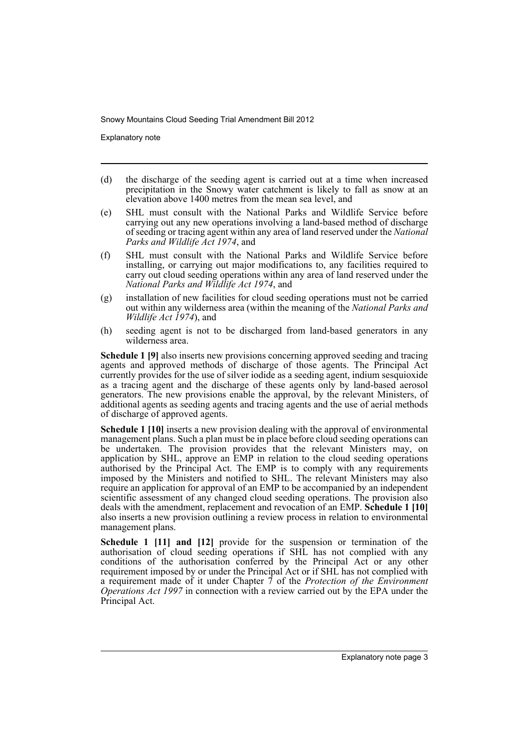Explanatory note

- (d) the discharge of the seeding agent is carried out at a time when increased precipitation in the Snowy water catchment is likely to fall as snow at an elevation above 1400 metres from the mean sea level, and
- (e) SHL must consult with the National Parks and Wildlife Service before carrying out any new operations involving a land-based method of discharge of seeding or tracing agent within any area of land reserved under the *National Parks and Wildlife Act 1974*, and
- (f) SHL must consult with the National Parks and Wildlife Service before installing, or carrying out major modifications to, any facilities required to carry out cloud seeding operations within any area of land reserved under the *National Parks and Wildlife Act 1974*, and
- (g) installation of new facilities for cloud seeding operations must not be carried out within any wilderness area (within the meaning of the *National Parks and Wildlife Act 1974*), and
- (h) seeding agent is not to be discharged from land-based generators in any wilderness area.

**Schedule 1 [9]** also inserts new provisions concerning approved seeding and tracing agents and approved methods of discharge of those agents. The Principal Act currently provides for the use of silver iodide as a seeding agent, indium sesquioxide as a tracing agent and the discharge of these agents only by land-based aerosol generators. The new provisions enable the approval, by the relevant Ministers, of additional agents as seeding agents and tracing agents and the use of aerial methods of discharge of approved agents.

**Schedule 1 [10]** inserts a new provision dealing with the approval of environmental management plans. Such a plan must be in place before cloud seeding operations can be undertaken. The provision provides that the relevant Ministers may, on application by SHL, approve an EMP in relation to the cloud seeding operations authorised by the Principal Act. The EMP is to comply with any requirements imposed by the Ministers and notified to SHL. The relevant Ministers may also require an application for approval of an EMP to be accompanied by an independent scientific assessment of any changed cloud seeding operations. The provision also deals with the amendment, replacement and revocation of an EMP. **Schedule 1 [10]** also inserts a new provision outlining a review process in relation to environmental management plans.

**Schedule 1 [11] and [12]** provide for the suspension or termination of the authorisation of cloud seeding operations if SHL has not complied with any conditions of the authorisation conferred by the Principal Act or any other requirement imposed by or under the Principal Act or if SHL has not complied with a requirement made of it under Chapter 7 of the *Protection of the Environment Operations Act 1997* in connection with a review carried out by the EPA under the Principal Act.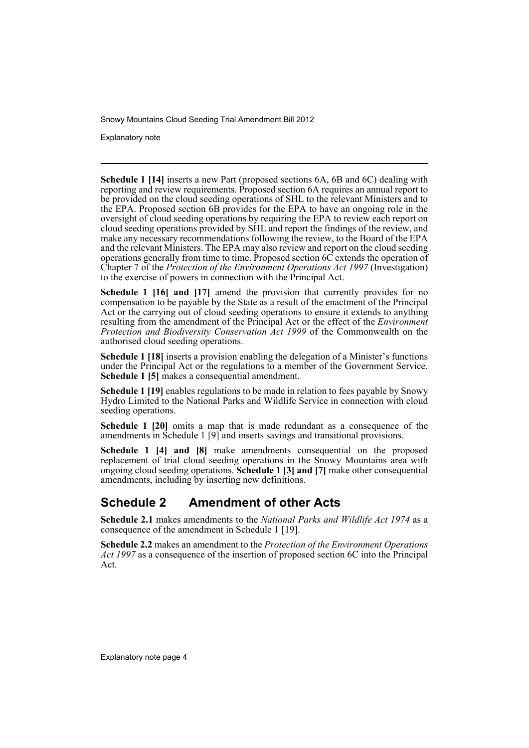Explanatory note

**Schedule 1 [14]** inserts a new Part (proposed sections 6A, 6B and 6C) dealing with reporting and review requirements. Proposed section 6A requires an annual report to be provided on the cloud seeding operations of SHL to the relevant Ministers and to the EPA. Proposed section 6B provides for the EPA to have an ongoing role in the oversight of cloud seeding operations by requiring the EPA to review each report on cloud seeding operations provided by SHL and report the findings of the review, and make any necessary recommendations following the review, to the Board of the EPA and the relevant Ministers. The EPA may also review and report on the cloud seeding operations generally from time to time. Proposed section 6C extends the operation of Chapter 7 of the *Protection of the Environment Operations Act 1997* (Investigation) to the exercise of powers in connection with the Principal Act.

**Schedule 1 [16] and [17]** amend the provision that currently provides for no compensation to be payable by the State as a result of the enactment of the Principal Act or the carrying out of cloud seeding operations to ensure it extends to anything resulting from the amendment of the Principal Act or the effect of the *Environment Protection and Biodiversity Conservation Act 1999* of the Commonwealth on the authorised cloud seeding operations.

**Schedule 1 [18]** inserts a provision enabling the delegation of a Minister's functions under the Principal Act or the regulations to a member of the Government Service. **Schedule 1 [5]** makes a consequential amendment.

**Schedule 1 [19]** enables regulations to be made in relation to fees payable by Snowy Hydro Limited to the National Parks and Wildlife Service in connection with cloud seeding operations.

**Schedule 1 [20]** omits a map that is made redundant as a consequence of the amendments in Schedule 1 [9] and inserts savings and transitional provisions.

**Schedule 1 [4] and [8]** make amendments consequential on the proposed replacement of trial cloud seeding operations in the Snowy Mountains area with ongoing cloud seeding operations. **Schedule 1 [3] and [7]** make other consequential amendments, including by inserting new definitions.

## **Schedule 2 Amendment of other Acts**

**Schedule 2.1** makes amendments to the *National Parks and Wildlife Act 1974* as a consequence of the amendment in Schedule 1 [19].

**Schedule 2.2** makes an amendment to the *Protection of the Environment Operations Act 1997* as a consequence of the insertion of proposed section 6C into the Principal Act.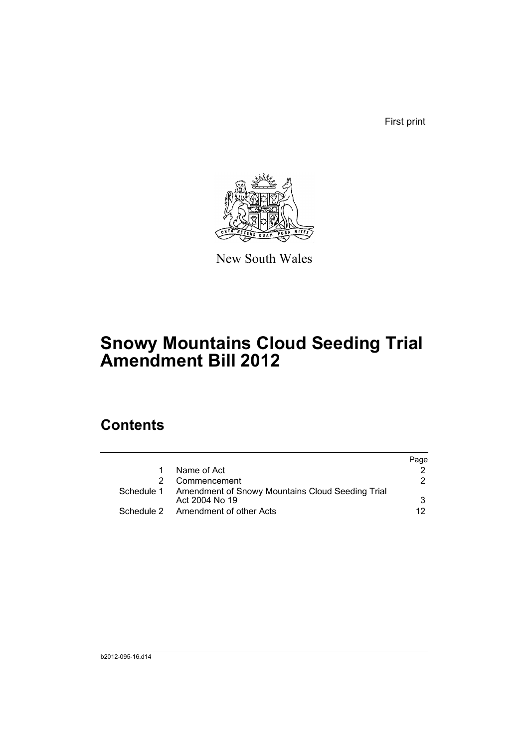First print



New South Wales

## **Snowy Mountains Cloud Seeding Trial Amendment Bill 2012**

## **Contents**

|                                                                               | Page |
|-------------------------------------------------------------------------------|------|
| Name of Act                                                                   |      |
| 2 Commencement                                                                | 2.   |
| Schedule 1 Amendment of Snowy Mountains Cloud Seeding Trial<br>Act 2004 No 19 | 3    |
| Schedule 2 Amendment of other Acts                                            | 12   |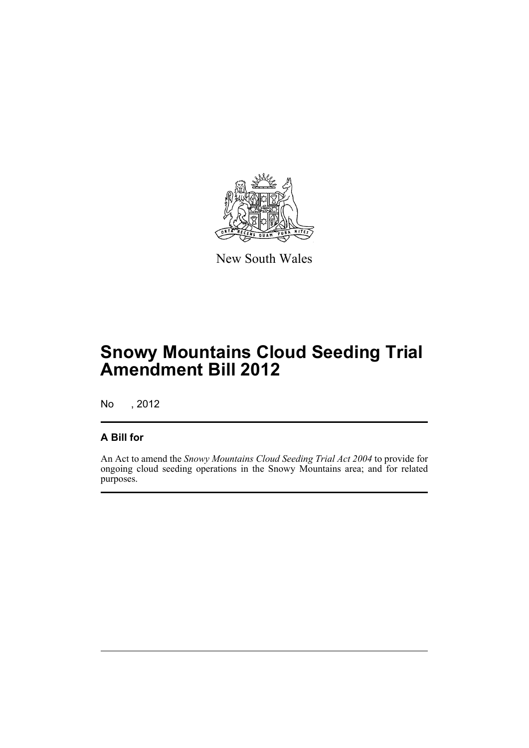

New South Wales

## **Snowy Mountains Cloud Seeding Trial Amendment Bill 2012**

No , 2012

### **A Bill for**

An Act to amend the *Snowy Mountains Cloud Seeding Trial Act 2004* to provide for ongoing cloud seeding operations in the Snowy Mountains area; and for related purposes.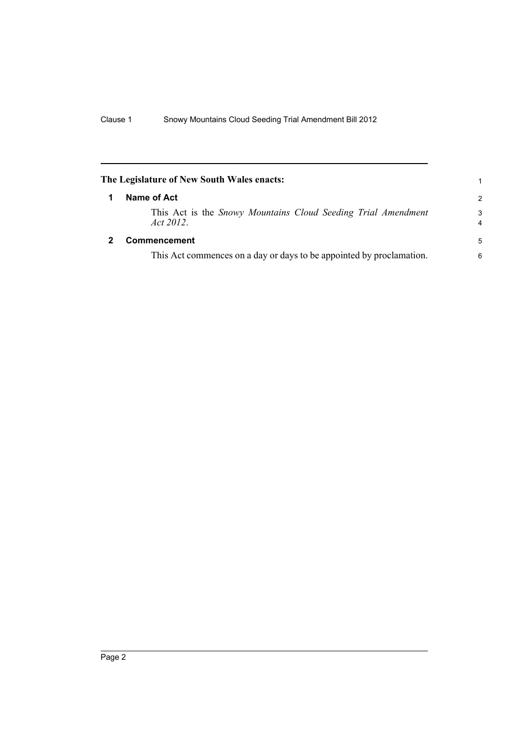<span id="page-7-1"></span><span id="page-7-0"></span>

| The Legislature of New South Wales enacts:                                 | 1             |
|----------------------------------------------------------------------------|---------------|
| Name of Act                                                                | $\mathcal{P}$ |
| This Act is the Snowy Mountains Cloud Seeding Trial Amendment<br>Act 2012. | 3<br>4        |
| Commencement                                                               | 5             |
| This Act commences on a day or days to be appointed by proclamation.       | 6             |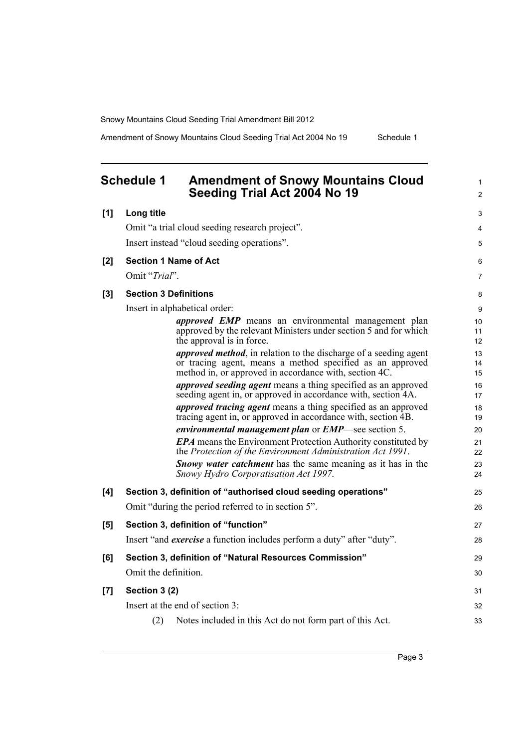<span id="page-8-0"></span>

|       | <b>Schedule 1</b><br><b>Amendment of Snowy Mountains Cloud</b><br>Seeding Trial Act 2004 No 19                                                                                                  | 1<br>$\overline{c}$ |
|-------|-------------------------------------------------------------------------------------------------------------------------------------------------------------------------------------------------|---------------------|
| [1]   | Long title                                                                                                                                                                                      | 3                   |
|       | Omit "a trial cloud seeding research project".                                                                                                                                                  | 4                   |
|       | Insert instead "cloud seeding operations".                                                                                                                                                      | 5                   |
| [2]   | <b>Section 1 Name of Act</b>                                                                                                                                                                    | 6                   |
|       | Omit "Trial".                                                                                                                                                                                   | $\overline{7}$      |
| [3]   | <b>Section 3 Definitions</b>                                                                                                                                                                    | 8                   |
|       | Insert in alphabetical order:                                                                                                                                                                   | 9                   |
|       | <i>approved EMP</i> means an environmental management plan<br>approved by the relevant Ministers under section 5 and for which<br>the approval is in force.                                     | 10<br>11<br>12      |
|       | <i>approved method</i> , in relation to the discharge of a seeding agent<br>or tracing agent, means a method specified as an approved<br>method in, or approved in accordance with, section 4C. | 13<br>14<br>15      |
|       | <i>approved seeding agent</i> means a thing specified as an approved<br>seeding agent in, or approved in accordance with, section 4A.                                                           | 16<br>17            |
|       | <i>approved tracing agent</i> means a thing specified as an approved<br>tracing agent in, or approved in accordance with, section 4B.                                                           | 18<br>19            |
|       | environmental management plan or EMP-see section 5.                                                                                                                                             | 20                  |
|       | <b>EPA</b> means the Environment Protection Authority constituted by<br>the Protection of the Environment Administration Act 1991.                                                              | 21<br>22            |
|       | <b>Snowy water catchment</b> has the same meaning as it has in the<br>Snowy Hydro Corporatisation Act 1997.                                                                                     | 23<br>24            |
| [4]   | Section 3, definition of "authorised cloud seeding operations"                                                                                                                                  | 25                  |
|       | Omit "during the period referred to in section 5".                                                                                                                                              | 26                  |
| [5]   | Section 3, definition of "function"                                                                                                                                                             | 27                  |
|       | Insert "and <i>exercise</i> a function includes perform a duty" after "duty".                                                                                                                   | 28                  |
| [6]   | Section 3, definition of "Natural Resources Commission"                                                                                                                                         | 29                  |
|       | Omit the definition.                                                                                                                                                                            | 30                  |
| $[7]$ | Section 3 (2)                                                                                                                                                                                   | 31                  |
|       | Insert at the end of section 3:                                                                                                                                                                 | 32                  |
|       | (2)<br>Notes included in this Act do not form part of this Act.                                                                                                                                 | 33                  |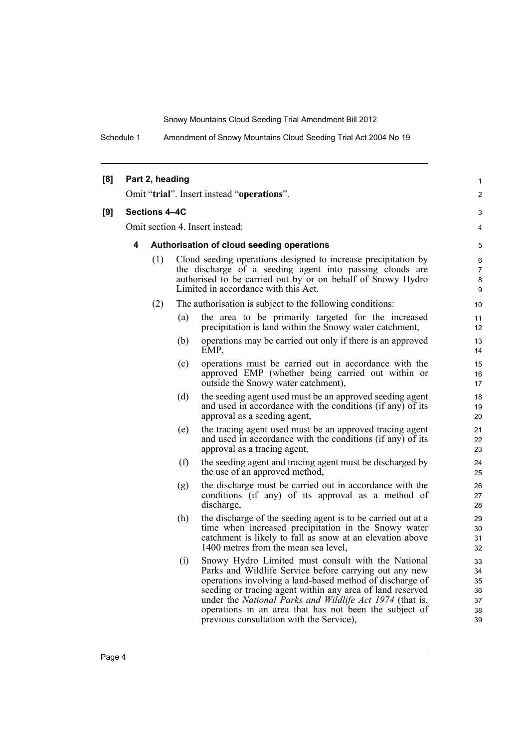Schedule 1 Amendment of Snowy Mountains Cloud Seeding Trial Act 2004 No 19

| [8] |                      | Part 2, heading |     |                                                                                                                                                                                                                                                                                                                                                                                                         | 1                                      |
|-----|----------------------|-----------------|-----|---------------------------------------------------------------------------------------------------------------------------------------------------------------------------------------------------------------------------------------------------------------------------------------------------------------------------------------------------------------------------------------------------------|----------------------------------------|
|     |                      |                 |     | Omit "trial". Insert instead "operations".                                                                                                                                                                                                                                                                                                                                                              | $\overline{2}$                         |
| [9] | <b>Sections 4-4C</b> |                 |     |                                                                                                                                                                                                                                                                                                                                                                                                         | 3                                      |
|     |                      |                 |     | Omit section 4. Insert instead:                                                                                                                                                                                                                                                                                                                                                                         | 4                                      |
|     | 4                    |                 |     | Authorisation of cloud seeding operations                                                                                                                                                                                                                                                                                                                                                               | 5                                      |
|     |                      | (1)             |     | Cloud seeding operations designed to increase precipitation by<br>the discharge of a seeding agent into passing clouds are                                                                                                                                                                                                                                                                              | 6<br>$\overline{7}$                    |
|     |                      |                 |     | authorised to be carried out by or on behalf of Snowy Hydro<br>Limited in accordance with this Act.                                                                                                                                                                                                                                                                                                     | 8<br>9                                 |
|     |                      | (2)             |     | The authorisation is subject to the following conditions:                                                                                                                                                                                                                                                                                                                                               | 10                                     |
|     |                      |                 | (a) | the area to be primarily targeted for the increased<br>precipitation is land within the Snowy water catchment,                                                                                                                                                                                                                                                                                          | 11<br>12                               |
|     |                      |                 | (b) | operations may be carried out only if there is an approved<br>EMP.                                                                                                                                                                                                                                                                                                                                      | 13<br>14                               |
|     |                      |                 | (c) | operations must be carried out in accordance with the<br>approved EMP (whether being carried out within or<br>outside the Snowy water catchment),                                                                                                                                                                                                                                                       | 15<br>16<br>17                         |
|     |                      |                 | (d) | the seeding agent used must be an approved seeding agent<br>and used in accordance with the conditions (if any) of its<br>approval as a seeding agent,                                                                                                                                                                                                                                                  | 18<br>19<br>20                         |
|     |                      |                 | (e) | the tracing agent used must be an approved tracing agent<br>and used in accordance with the conditions (if any) of its<br>approval as a tracing agent,                                                                                                                                                                                                                                                  | 21<br>22<br>23                         |
|     |                      |                 | (f) | the seeding agent and tracing agent must be discharged by<br>the use of an approved method,                                                                                                                                                                                                                                                                                                             | 24<br>25                               |
|     |                      |                 | (g) | the discharge must be carried out in accordance with the<br>conditions (if any) of its approval as a method of<br>discharge,                                                                                                                                                                                                                                                                            | 26<br>27<br>28                         |
|     |                      |                 | (h) | the discharge of the seeding agent is to be carried out at a<br>time when increased precipitation in the Snowy water<br>catchment is likely to fall as snow at an elevation above<br>1400 metres from the mean sea level,                                                                                                                                                                               | 29<br>30<br>31<br>32                   |
|     |                      |                 | (i) | Snowy Hydro Limited must consult with the National<br>Parks and Wildlife Service before carrying out any new<br>operations involving a land-based method of discharge of<br>seeding or tracing agent within any area of land reserved<br>under the National Parks and Wildlife Act 1974 (that is,<br>operations in an area that has not been the subject of<br>previous consultation with the Service), | 33<br>34<br>35<br>36<br>37<br>38<br>39 |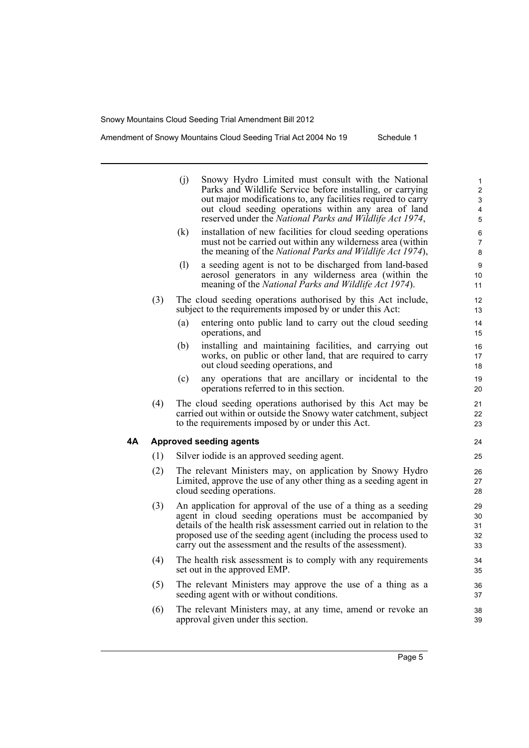|    |     | (j)<br>(k) | Snowy Hydro Limited must consult with the National<br>Parks and Wildlife Service before installing, or carrying<br>out major modifications to, any facilities required to carry<br>out cloud seeding operations within any area of land<br>reserved under the National Parks and Wildlife Act 1974,<br>installation of new facilities for cloud seeding operations<br>must not be carried out within any wilderness area (within<br>the meaning of the National Parks and Wildlife Act 1974), | 1<br>$\mathbf 2$<br>3<br>4<br>5<br>6<br>7<br>8 |
|----|-----|------------|-----------------------------------------------------------------------------------------------------------------------------------------------------------------------------------------------------------------------------------------------------------------------------------------------------------------------------------------------------------------------------------------------------------------------------------------------------------------------------------------------|------------------------------------------------|
|    |     | (1)        | a seeding agent is not to be discharged from land-based<br>aerosol generators in any wilderness area (within the<br>meaning of the National Parks and Wildlife Act 1974).                                                                                                                                                                                                                                                                                                                     | 9<br>10<br>11                                  |
|    | (3) |            | The cloud seeding operations authorised by this Act include,<br>subject to the requirements imposed by or under this Act:                                                                                                                                                                                                                                                                                                                                                                     | 12<br>13                                       |
|    |     | (a)        | entering onto public land to carry out the cloud seeding<br>operations, and                                                                                                                                                                                                                                                                                                                                                                                                                   | 14<br>15                                       |
|    |     | (b)        | installing and maintaining facilities, and carrying out<br>works, on public or other land, that are required to carry<br>out cloud seeding operations, and                                                                                                                                                                                                                                                                                                                                    | 16<br>17<br>18                                 |
|    |     | (c)        | any operations that are ancillary or incidental to the<br>operations referred to in this section.                                                                                                                                                                                                                                                                                                                                                                                             | 19<br>20                                       |
|    | (4) |            | The cloud seeding operations authorised by this Act may be<br>carried out within or outside the Snowy water catchment, subject<br>to the requirements imposed by or under this Act.                                                                                                                                                                                                                                                                                                           | 21<br>22<br>23                                 |
| 4Α |     |            | <b>Approved seeding agents</b>                                                                                                                                                                                                                                                                                                                                                                                                                                                                | 24                                             |
|    | (1) |            | Silver iodide is an approved seeding agent.                                                                                                                                                                                                                                                                                                                                                                                                                                                   | 25                                             |
|    | (2) |            | The relevant Ministers may, on application by Snowy Hydro<br>Limited, approve the use of any other thing as a seeding agent in<br>cloud seeding operations.                                                                                                                                                                                                                                                                                                                                   | 26<br>27<br>28                                 |
|    | (3) |            | An application for approval of the use of a thing as a seeding<br>agent in cloud seeding operations must be accompanied by<br>details of the health risk assessment carried out in relation to the<br>proposed use of the seeding agent (including the process used to<br>carry out the assessment and the results of the assessment).                                                                                                                                                        | 29<br>30<br>31<br>32<br>33                     |
|    | (4) |            | The health risk assessment is to comply with any requirements<br>set out in the approved EMP.                                                                                                                                                                                                                                                                                                                                                                                                 | 34<br>35                                       |
|    | (5) |            | The relevant Ministers may approve the use of a thing as a<br>seeding agent with or without conditions.                                                                                                                                                                                                                                                                                                                                                                                       | 36<br>37                                       |
|    | (6) |            | The relevant Ministers may, at any time, amend or revoke an<br>approval given under this section.                                                                                                                                                                                                                                                                                                                                                                                             | 38<br>39                                       |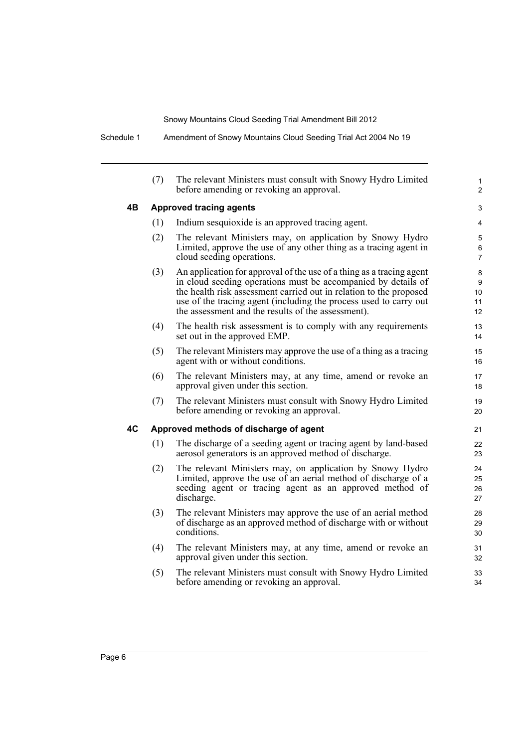Schedule 1 Amendment of Snowy Mountains Cloud Seeding Trial Act 2004 No 19

|    | (7) | The relevant Ministers must consult with Snowy Hydro Limited<br>before amending or revoking an approval.                                                                                                                                                                                                                               | 1<br>$\overline{c}$      |
|----|-----|----------------------------------------------------------------------------------------------------------------------------------------------------------------------------------------------------------------------------------------------------------------------------------------------------------------------------------------|--------------------------|
| 4Β |     | <b>Approved tracing agents</b>                                                                                                                                                                                                                                                                                                         | 3                        |
|    | (1) | Indium sesquioxide is an approved tracing agent.                                                                                                                                                                                                                                                                                       | 4                        |
|    | (2) | The relevant Ministers may, on application by Snowy Hydro<br>Limited, approve the use of any other thing as a tracing agent in<br>cloud seeding operations.                                                                                                                                                                            | 5<br>6<br>$\overline{7}$ |
|    | (3) | An application for approval of the use of a thing as a tracing agent<br>in cloud seeding operations must be accompanied by details of<br>the health risk assessment carried out in relation to the proposed<br>use of the tracing agent (including the process used to carry out<br>the assessment and the results of the assessment). | 8<br>9<br>10<br>11<br>12 |
|    | (4) | The health risk assessment is to comply with any requirements<br>set out in the approved EMP.                                                                                                                                                                                                                                          | 13<br>14                 |
|    | (5) | The relevant Ministers may approve the use of a thing as a tracing<br>agent with or without conditions.                                                                                                                                                                                                                                | 15<br>16                 |
|    | (6) | The relevant Ministers may, at any time, amend or revoke an<br>approval given under this section.                                                                                                                                                                                                                                      | 17<br>18                 |
|    | (7) | The relevant Ministers must consult with Snowy Hydro Limited<br>before amending or revoking an approval.                                                                                                                                                                                                                               | 19<br>20                 |
| 4C |     | Approved methods of discharge of agent                                                                                                                                                                                                                                                                                                 | 21                       |
|    | (1) | The discharge of a seeding agent or tracing agent by land-based<br>aerosol generators is an approved method of discharge.                                                                                                                                                                                                              | 22<br>23                 |
|    | (2) | The relevant Ministers may, on application by Snowy Hydro<br>Limited, approve the use of an aerial method of discharge of a<br>seeding agent or tracing agent as an approved method of<br>discharge.                                                                                                                                   | 24<br>25<br>26<br>27     |
|    | (3) | The relevant Ministers may approve the use of an aerial method<br>of discharge as an approved method of discharge with or without<br>conditions.                                                                                                                                                                                       | 28<br>29<br>30           |
|    | (4) | The relevant Ministers may, at any time, amend or revoke an<br>approval given under this section.                                                                                                                                                                                                                                      | 31<br>32                 |
|    | (5) | The relevant Ministers must consult with Snowy Hydro Limited<br>before amending or revoking an approval.                                                                                                                                                                                                                               | 33<br>34                 |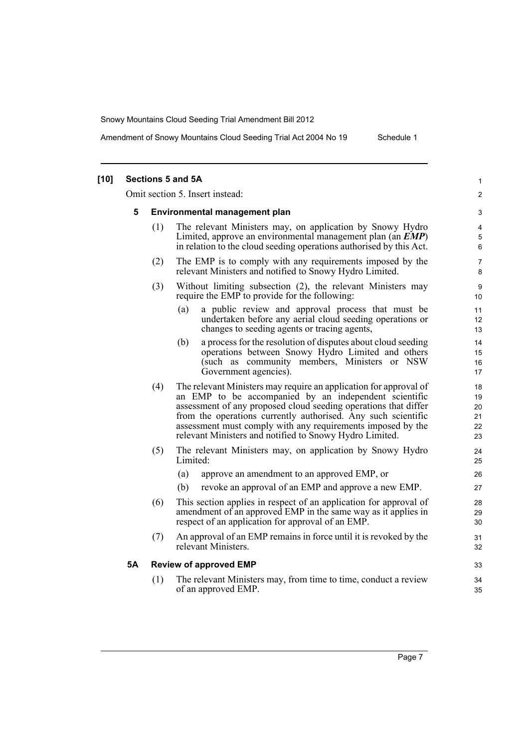| $[10]$ |           |     | Sections 5 and 5A                                                                                                                                                                                                                                                                                                                                                                        | 1                                |
|--------|-----------|-----|------------------------------------------------------------------------------------------------------------------------------------------------------------------------------------------------------------------------------------------------------------------------------------------------------------------------------------------------------------------------------------------|----------------------------------|
|        |           |     | Omit section 5. Insert instead:                                                                                                                                                                                                                                                                                                                                                          | $\overline{\mathbf{c}}$          |
|        | 5         |     | Environmental management plan                                                                                                                                                                                                                                                                                                                                                            | 3                                |
|        |           | (1) | The relevant Ministers may, on application by Snowy Hydro<br>Limited, approve an environmental management plan (an EMP)<br>in relation to the cloud seeding operations authorised by this Act.                                                                                                                                                                                           | 4<br>5<br>6                      |
|        |           | (2) | The EMP is to comply with any requirements imposed by the<br>relevant Ministers and notified to Snowy Hydro Limited.                                                                                                                                                                                                                                                                     | 7<br>8                           |
|        |           | (3) | Without limiting subsection (2), the relevant Ministers may<br>require the EMP to provide for the following:                                                                                                                                                                                                                                                                             | 9<br>10                          |
|        |           |     | a public review and approval process that must be<br>(a)<br>undertaken before any aerial cloud seeding operations or<br>changes to seeding agents or tracing agents,                                                                                                                                                                                                                     | 11<br>12<br>13                   |
|        |           |     | a process for the resolution of disputes about cloud seeding<br>(b)<br>operations between Snowy Hydro Limited and others<br>(such as community members, Ministers or NSW<br>Government agencies).                                                                                                                                                                                        | 14<br>15<br>16<br>17             |
|        |           | (4) | The relevant Ministers may require an application for approval of<br>an EMP to be accompanied by an independent scientific<br>assessment of any proposed cloud seeding operations that differ<br>from the operations currently authorised. Any such scientific<br>assessment must comply with any requirements imposed by the<br>relevant Ministers and notified to Snowy Hydro Limited. | 18<br>19<br>20<br>21<br>22<br>23 |
|        |           | (5) | The relevant Ministers may, on application by Snowy Hydro<br>Limited:                                                                                                                                                                                                                                                                                                                    | 24<br>25                         |
|        |           |     | (a)<br>approve an amendment to an approved EMP, or<br>revoke an approval of an EMP and approve a new EMP.<br>(b)                                                                                                                                                                                                                                                                         | 26<br>27                         |
|        |           | (6) | This section applies in respect of an application for approval of<br>amendment of an approved EMP in the same way as it applies in<br>respect of an application for approval of an EMP.                                                                                                                                                                                                  | 28<br>29<br>30                   |
|        |           | (7) | An approval of an EMP remains in force until it is revoked by the<br>relevant Ministers.                                                                                                                                                                                                                                                                                                 | 31<br>32                         |
|        | <b>5A</b> |     | <b>Review of approved EMP</b>                                                                                                                                                                                                                                                                                                                                                            | 33                               |
|        |           | (1) | The relevant Ministers may, from time to time, conduct a review<br>of an approved EMP.                                                                                                                                                                                                                                                                                                   | 34<br>35                         |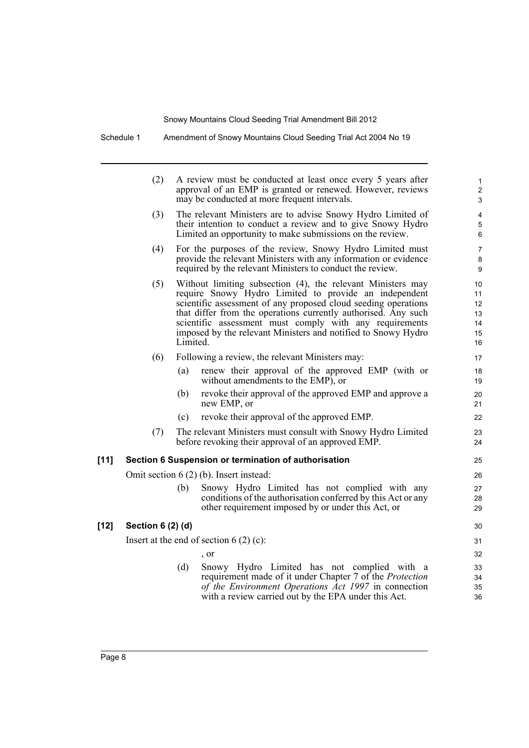Schedule 1 Amendment of Snowy Mountains Cloud Seeding Trial Act 2004 No 19

|        | (2)               |          | A review must be conducted at least once every 5 years after<br>approval of an EMP is granted or renewed. However, reviews<br>may be conducted at more frequent intervals.                                                                                                                                                                                                           | 1<br>$\overline{c}$<br>3               |
|--------|-------------------|----------|--------------------------------------------------------------------------------------------------------------------------------------------------------------------------------------------------------------------------------------------------------------------------------------------------------------------------------------------------------------------------------------|----------------------------------------|
|        | (3)               |          | The relevant Ministers are to advise Snowy Hydro Limited of<br>their intention to conduct a review and to give Snowy Hydro<br>Limited an opportunity to make submissions on the review.                                                                                                                                                                                              | 4<br>5<br>6                            |
|        | (4)               |          | For the purposes of the review, Snowy Hydro Limited must<br>provide the relevant Ministers with any information or evidence<br>required by the relevant Ministers to conduct the review.                                                                                                                                                                                             | $\overline{7}$<br>8<br>9               |
|        | (5)               | Limited. | Without limiting subsection (4), the relevant Ministers may<br>require Snowy Hydro Limited to provide an independent<br>scientific assessment of any proposed cloud seeding operations<br>that differ from the operations currently authorised. Any such<br>scientific assessment must comply with any requirements<br>imposed by the relevant Ministers and notified to Snowy Hydro | 10<br>11<br>12<br>13<br>14<br>15<br>16 |
|        | (6)               |          | Following a review, the relevant Ministers may:                                                                                                                                                                                                                                                                                                                                      | 17                                     |
|        |                   | (a)      | renew their approval of the approved EMP (with or<br>without amendments to the EMP), or                                                                                                                                                                                                                                                                                              | 18<br>19                               |
|        |                   | (b)      | revoke their approval of the approved EMP and approve a<br>new EMP, or                                                                                                                                                                                                                                                                                                               | 20<br>21                               |
|        |                   | (c)      | revoke their approval of the approved EMP.                                                                                                                                                                                                                                                                                                                                           | 22                                     |
|        | (7)               |          | The relevant Ministers must consult with Snowy Hydro Limited<br>before revoking their approval of an approved EMP.                                                                                                                                                                                                                                                                   | 23<br>24                               |
| $[11]$ |                   |          | Section 6 Suspension or termination of authorisation                                                                                                                                                                                                                                                                                                                                 | 25                                     |
|        |                   |          | Omit section $6(2)$ (b). Insert instead:                                                                                                                                                                                                                                                                                                                                             | 26                                     |
|        |                   | (b)      | Snowy Hydro Limited has not complied with any<br>conditions of the authorisation conferred by this Act or any<br>other requirement imposed by or under this Act, or                                                                                                                                                                                                                  | 27<br>28<br>29                         |
| $[12]$ | Section 6 (2) (d) |          |                                                                                                                                                                                                                                                                                                                                                                                      | 30                                     |
|        |                   |          | Insert at the end of section $6(2)(c)$ :                                                                                                                                                                                                                                                                                                                                             | 31                                     |
|        |                   |          | , or                                                                                                                                                                                                                                                                                                                                                                                 | 32                                     |
|        |                   | (d)      | Snowy Hydro Limited has not complied with a<br>requirement made of it under Chapter 7 of the <i>Protection</i><br>of the Environment Operations Act 1997 in connection<br>with a review carried out by the EPA under this Act.                                                                                                                                                       | 33<br>34<br>35<br>36                   |
|        |                   |          |                                                                                                                                                                                                                                                                                                                                                                                      |                                        |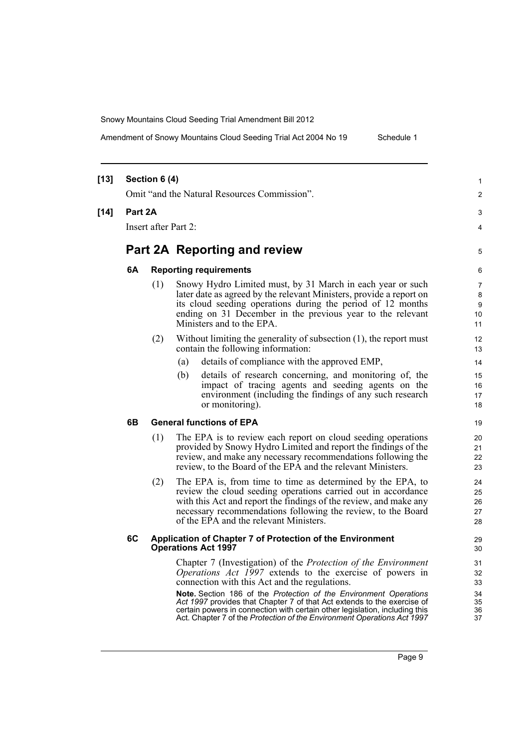| $[13]$ |         | Section 6 (4)        |                                                                                                                                                                                                                                                                                                                                                                                                                                                                                                     | 1                                      |
|--------|---------|----------------------|-----------------------------------------------------------------------------------------------------------------------------------------------------------------------------------------------------------------------------------------------------------------------------------------------------------------------------------------------------------------------------------------------------------------------------------------------------------------------------------------------------|----------------------------------------|
|        |         |                      | Omit "and the Natural Resources Commission".                                                                                                                                                                                                                                                                                                                                                                                                                                                        | 2                                      |
| $[14]$ | Part 2A |                      |                                                                                                                                                                                                                                                                                                                                                                                                                                                                                                     | 3                                      |
|        |         | Insert after Part 2: |                                                                                                                                                                                                                                                                                                                                                                                                                                                                                                     | 4                                      |
|        |         |                      | Part 2A Reporting and review                                                                                                                                                                                                                                                                                                                                                                                                                                                                        | 5                                      |
|        | 6A      |                      | <b>Reporting requirements</b>                                                                                                                                                                                                                                                                                                                                                                                                                                                                       | 6                                      |
|        |         | (1)                  | Snowy Hydro Limited must, by 31 March in each year or such<br>later date as agreed by the relevant Ministers, provide a report on<br>its cloud seeding operations during the period of 12 months<br>ending on 31 December in the previous year to the relevant<br>Ministers and to the EPA.                                                                                                                                                                                                         | 7<br>8<br>9<br>10<br>11                |
|        |         | (2)                  | Without limiting the generality of subsection $(1)$ , the report must<br>contain the following information:                                                                                                                                                                                                                                                                                                                                                                                         | 12<br>13                               |
|        |         |                      | details of compliance with the approved EMP,<br>(a)                                                                                                                                                                                                                                                                                                                                                                                                                                                 | 14                                     |
|        |         |                      | details of research concerning, and monitoring of, the<br>(b)<br>impact of tracing agents and seeding agents on the<br>environment (including the findings of any such research<br>or monitoring).                                                                                                                                                                                                                                                                                                  | 15<br>16<br>17<br>18                   |
|        | 6В      |                      | <b>General functions of EPA</b>                                                                                                                                                                                                                                                                                                                                                                                                                                                                     | 19                                     |
|        |         | (1)                  | The EPA is to review each report on cloud seeding operations<br>provided by Snowy Hydro Limited and report the findings of the<br>review, and make any necessary recommendations following the<br>review, to the Board of the EPA and the relevant Ministers.                                                                                                                                                                                                                                       | 20<br>21<br>22<br>23                   |
|        |         | (2)                  | The EPA is, from time to time as determined by the EPA, to<br>review the cloud seeding operations carried out in accordance<br>with this Act and report the findings of the review, and make any<br>necessary recommendations following the review, to the Board<br>of the EPA and the relevant Ministers.                                                                                                                                                                                          | 24<br>25<br>26<br>27<br>28             |
|        | 6C      |                      | Application of Chapter 7 of Protection of the Environment<br><b>Operations Act 1997</b>                                                                                                                                                                                                                                                                                                                                                                                                             | 29<br>30                               |
|        |         |                      | Chapter 7 (Investigation) of the <i>Protection of the Environment</i><br><i>Operations Act 1997</i> extends to the exercise of powers in<br>connection with this Act and the regulations.<br>Note. Section 186 of the Protection of the Environment Operations<br>Act 1997 provides that Chapter 7 of that Act extends to the exercise of<br>certain powers in connection with certain other legislation, including this<br>Act. Chapter 7 of the Protection of the Environment Operations Act 1997 | 31<br>32<br>33<br>34<br>35<br>36<br>37 |
|        |         |                      |                                                                                                                                                                                                                                                                                                                                                                                                                                                                                                     |                                        |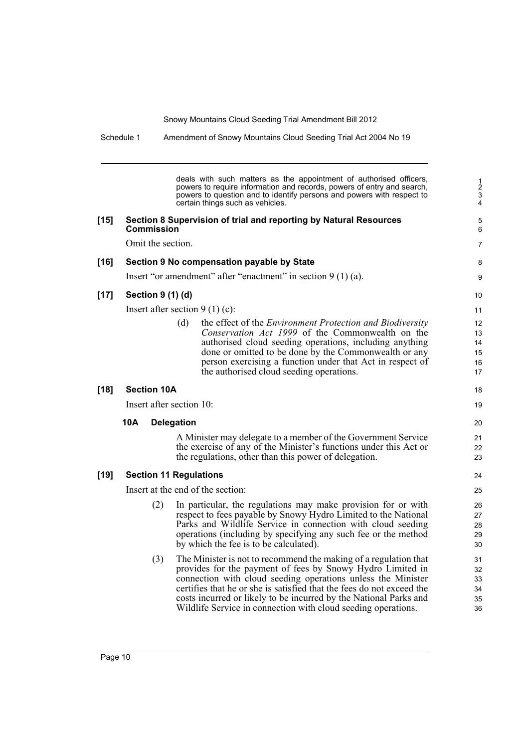Schedule 1 Amendment of Snowy Mountains Cloud Seeding Trial Act 2004 No 19

deals with such matters as the appointment of authorised officers, powers to require information and records, powers of entry and search, powers to question and to identify persons and powers with respect to certain things such as vehicles.

8 9

18 19

#### **[15] Section 8 Supervision of trial and reporting by Natural Resources Commission**

Omit the section.

#### **[16] Section 9 No compensation payable by State**

Insert "or amendment" after "enactment" in section 9 (1) (a).

### **[17] Section 9 (1) (d)**

Insert after section 9 (1) (c):

(d) the effect of the *Environment Protection and Biodiversity Conservation Act 1999* of the Commonwealth on the authorised cloud seeding operations, including anything done or omitted to be done by the Commonwealth or any person exercising a function under that Act in respect of the authorised cloud seeding operations.

### **[18] Section 10A**

Insert after section 10:

#### **10A Delegation**

A Minister may delegate to a member of the Government Service the exercise of any of the Minister's functions under this Act or the regulations, other than this power of delegation.

#### **[19] Section 11 Regulations**

Insert at the end of the section:

- (2) In particular, the regulations may make provision for or with respect to fees payable by Snowy Hydro Limited to the National Parks and Wildlife Service in connection with cloud seeding operations (including by specifying any such fee or the method by which the fee is to be calculated).
- (3) The Minister is not to recommend the making of a regulation that provides for the payment of fees by Snowy Hydro Limited in connection with cloud seeding operations unless the Minister certifies that he or she is satisfied that the fees do not exceed the costs incurred or likely to be incurred by the National Parks and Wildlife Service in connection with cloud seeding operations.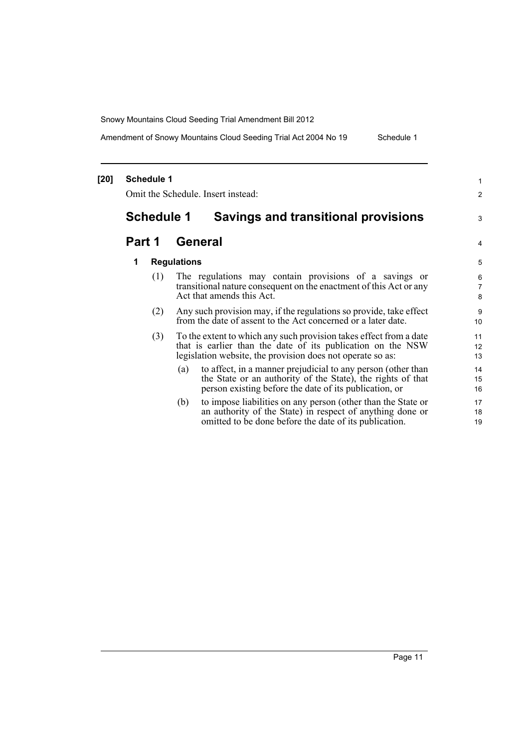Amendment of Snowy Mountains Cloud Seeding Trial Act 2004 No 19 Schedule 1

#### **[20] Schedule 1** Omit the Schedule. Insert instead: **Schedule 1 Savings and transitional provisions Part 1 General 1 Regulations** (1) The regulations may contain provisions of a savings or transitional nature consequent on the enactment of this Act or any Act that amends this Act. (2) Any such provision may, if the regulations so provide, take effect from the date of assent to the Act concerned or a later date. (3) To the extent to which any such provision takes effect from a date that is earlier than the date of its publication on the NSW legislation website, the provision does not operate so as: (a) to affect, in a manner prejudicial to any person (other than the State or an authority of the State), the rights of that person existing before the date of its publication, or (b) to impose liabilities on any person (other than the State or an authority of the State) in respect of anything done or omitted to be done before the date of its publication. 1 2 3 4 5 6 7 8 9 10 11 12 13 14 15 16 17 18 19